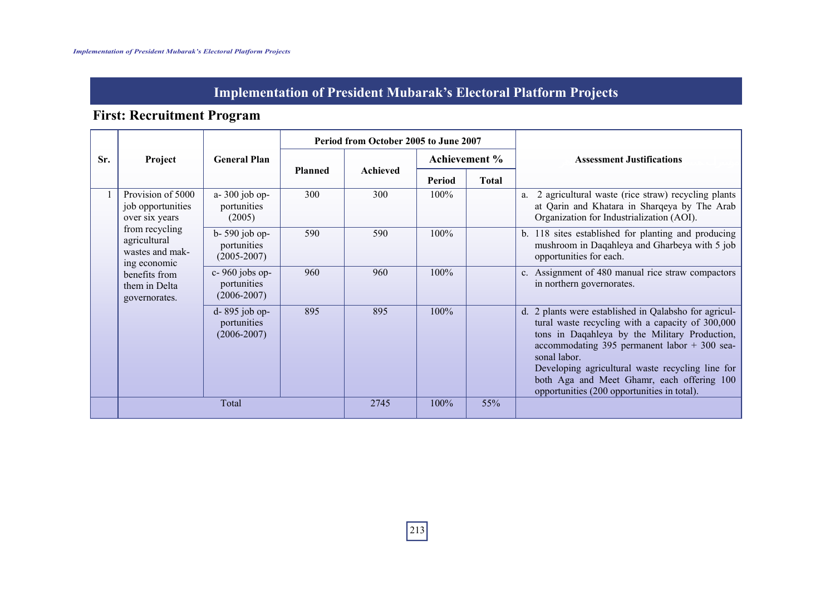## **First: Recruitment Program**

|     | Project                                                                                                                                                                          | <b>General Plan</b>                                 | Period from October 2005 to June 2007 |                 |        |               |                                                                                                                                                                                                                                                                                                                                                                                 |
|-----|----------------------------------------------------------------------------------------------------------------------------------------------------------------------------------|-----------------------------------------------------|---------------------------------------|-----------------|--------|---------------|---------------------------------------------------------------------------------------------------------------------------------------------------------------------------------------------------------------------------------------------------------------------------------------------------------------------------------------------------------------------------------|
| Sr. |                                                                                                                                                                                  |                                                     | <b>Planned</b>                        | <b>Achieved</b> |        | Achievement % | <b>Assessment Justifications</b>                                                                                                                                                                                                                                                                                                                                                |
|     |                                                                                                                                                                                  |                                                     |                                       |                 | Period | Total         |                                                                                                                                                                                                                                                                                                                                                                                 |
|     | Provision of 5000<br>job opportunities<br>over six years<br>from recycling<br>agricultural<br>wastes and mak-<br>ing economic<br>benefits from<br>them in Delta<br>governorates. | a-300 job op-<br>portunities<br>(2005)              | 300                                   | 300             | 100%   |               | a. 2 agricultural waste (rice straw) recycling plants<br>at Qarin and Khatara in Sharqeya by The Arab<br>Organization for Industrialization (AOI).                                                                                                                                                                                                                              |
|     |                                                                                                                                                                                  | $b - 590$ job op-<br>portunities<br>$(2005 - 2007)$ | 590                                   | 590             | 100%   |               | b. 118 sites established for planting and producing<br>mushroom in Daqahleya and Gharbeya with 5 job<br>opportunities for each.                                                                                                                                                                                                                                                 |
|     |                                                                                                                                                                                  | c-960 jobs op-<br>portunities<br>$(2006 - 2007)$    | 960                                   | 960             | 100%   |               | c. Assignment of 480 manual rice straw compactors<br>in northern governorates.                                                                                                                                                                                                                                                                                                  |
|     |                                                                                                                                                                                  | d-895 job op-<br>portunities<br>$(2006 - 2007)$     | 895                                   | 895             | 100%   |               | d. 2 plants were established in Qalabsho for agricul-<br>tural waste recycling with a capacity of 300,000<br>tons in Daqahleya by the Military Production,<br>accommodating $395$ permanent labor + $300$ sea-<br>sonal labor.<br>Developing agricultural waste recycling line for<br>both Aga and Meet Ghamr, each offering 100<br>opportunities (200 opportunities in total). |
|     |                                                                                                                                                                                  | 2745                                                | 100%                                  | 55%             |        |               |                                                                                                                                                                                                                                                                                                                                                                                 |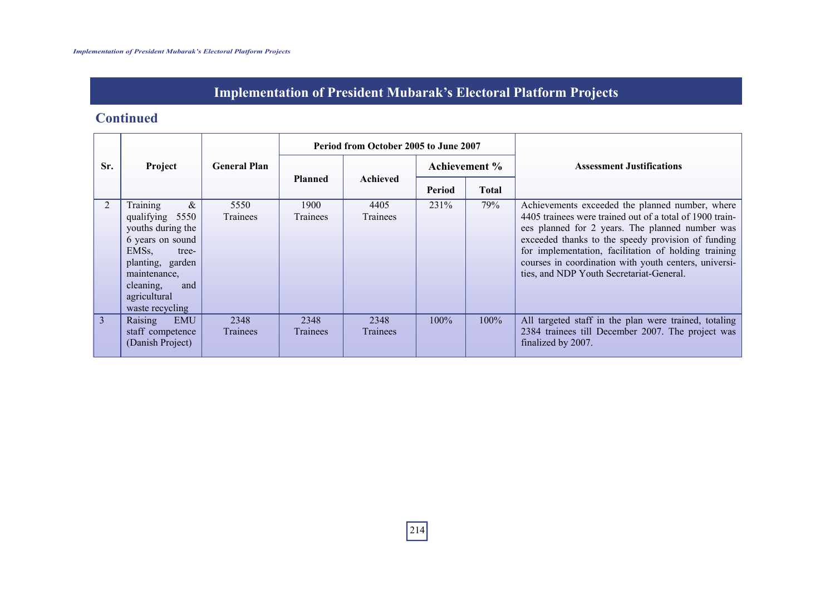#### **Continued**

|              |                                                                                                                                                                                                      | <b>General Plan</b>     | Period from October 2005 to June 2007 |                         |         |               |                                                                                                                                                                                                                                                                                                                                                                                   |
|--------------|------------------------------------------------------------------------------------------------------------------------------------------------------------------------------------------------------|-------------------------|---------------------------------------|-------------------------|---------|---------------|-----------------------------------------------------------------------------------------------------------------------------------------------------------------------------------------------------------------------------------------------------------------------------------------------------------------------------------------------------------------------------------|
| Sr.          | Project                                                                                                                                                                                              |                         |                                       |                         |         | Achievement % | <b>Assessment Justifications</b>                                                                                                                                                                                                                                                                                                                                                  |
|              |                                                                                                                                                                                                      |                         | <b>Planned</b>                        | Achieved                | Period  | <b>Total</b>  |                                                                                                                                                                                                                                                                                                                                                                                   |
| 2            | Training<br>$\&$<br>qualifying 5550<br>youths during the<br>6 years on sound<br>EMS <sub>s</sub><br>tree-<br>planting, garden<br>maintenance,<br>cleaning,<br>and<br>agricultural<br>waste recycling | 5550<br><b>Trainees</b> | 1900<br><b>Trainees</b>               | 4405<br><b>Trainees</b> | 231%    | 79%           | Achievements exceeded the planned number, where<br>4405 trainees were trained out of a total of 1900 train-<br>ees planned for 2 years. The planned number was<br>exceeded thanks to the speedy provision of funding<br>for implementation, facilitation of holding training<br>courses in coordination with youth centers, universi-<br>ties, and NDP Youth Secretariat-General. |
| $\mathbf{3}$ | <b>EMU</b><br>Raising<br>staff competence<br>(Danish Project)                                                                                                                                        | 2348<br><b>Trainees</b> | 2348<br><b>Trainees</b>               | 2348<br>Trainees        | $100\%$ | $100\%$       | All targeted staff in the plan were trained, totaling<br>2384 trainees till December 2007. The project was<br>finalized by 2007.                                                                                                                                                                                                                                                  |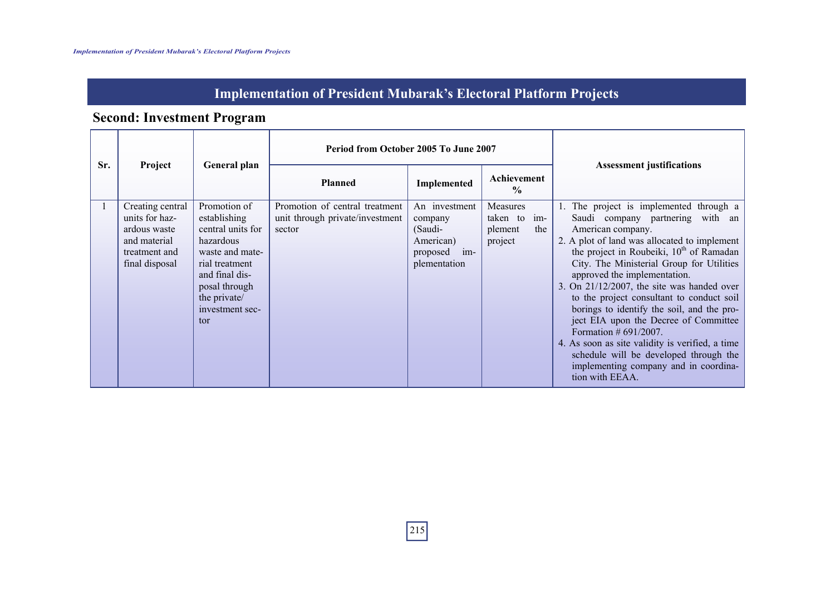### **Second: Investment Program**

| Sr. |                                                                                                       |                                                                                                                                                                                  | <b>Period from October 2005 To June 2007</b>                                |                                                                                       |                                                            |                                                                                                                                                                                                                                                                                                                                                                                                                                                                                                                                                                                                                                                                |
|-----|-------------------------------------------------------------------------------------------------------|----------------------------------------------------------------------------------------------------------------------------------------------------------------------------------|-----------------------------------------------------------------------------|---------------------------------------------------------------------------------------|------------------------------------------------------------|----------------------------------------------------------------------------------------------------------------------------------------------------------------------------------------------------------------------------------------------------------------------------------------------------------------------------------------------------------------------------------------------------------------------------------------------------------------------------------------------------------------------------------------------------------------------------------------------------------------------------------------------------------------|
|     | Project                                                                                               | General plan                                                                                                                                                                     | <b>Planned</b>                                                              | Implemented                                                                           | Achievement<br>$\frac{0}{0}$                               | <b>Assessment justifications</b>                                                                                                                                                                                                                                                                                                                                                                                                                                                                                                                                                                                                                               |
|     | Creating central<br>units for haz-<br>ardous waste<br>and material<br>treatment and<br>final disposal | Promotion of<br>establishing<br>central units for<br>hazardous<br>waste and mate-<br>rial treatment<br>and final dis-<br>posal through<br>the private/<br>investment sec-<br>tor | Promotion of central treatment<br>unit through private/investment<br>sector | An investment<br>company<br>(Saudi-<br>American)<br>proposed<br>$im-$<br>plementation | Measures<br>taken to<br>$im-$<br>the<br>plement<br>project | 1. The project is implemented through a<br>Saudi company partnering with an<br>American company.<br>2. A plot of land was allocated to implement<br>the project in Roubeiki, 10 <sup>th</sup> of Ramadan<br>City. The Ministerial Group for Utilities<br>approved the implementation.<br>3. On $21/12/2007$ , the site was handed over<br>to the project consultant to conduct soil<br>borings to identify the soil, and the pro-<br>ject EIA upon the Decree of Committee<br>Formation $#691/2007$ .<br>4. As soon as site validity is verified, a time<br>schedule will be developed through the<br>implementing company and in coordina-<br>tion with EEAA. |

215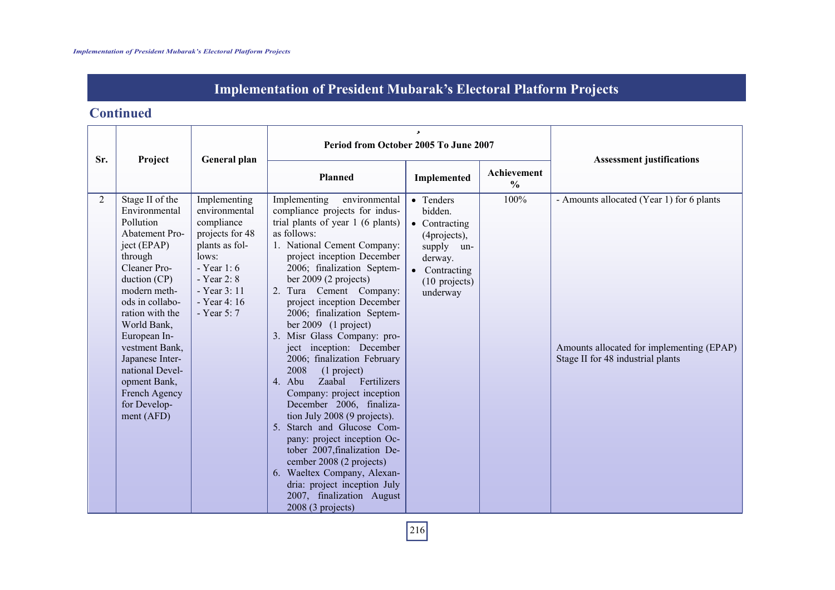#### **Continued**

| Sr.            | Project                                                                                                                                                                                                                                                                                                                               | General plan                                                                                                                                                              | Period from October 2005 To June 2007                                                                                                                                                                                                                                                                                                                                                                                                                                                                                                                                                                                                                                                                                                                                                                                                                 |                                                                                                                                                | <b>Assessment justifications</b> |                                                                                                                             |
|----------------|---------------------------------------------------------------------------------------------------------------------------------------------------------------------------------------------------------------------------------------------------------------------------------------------------------------------------------------|---------------------------------------------------------------------------------------------------------------------------------------------------------------------------|-------------------------------------------------------------------------------------------------------------------------------------------------------------------------------------------------------------------------------------------------------------------------------------------------------------------------------------------------------------------------------------------------------------------------------------------------------------------------------------------------------------------------------------------------------------------------------------------------------------------------------------------------------------------------------------------------------------------------------------------------------------------------------------------------------------------------------------------------------|------------------------------------------------------------------------------------------------------------------------------------------------|----------------------------------|-----------------------------------------------------------------------------------------------------------------------------|
|                |                                                                                                                                                                                                                                                                                                                                       |                                                                                                                                                                           | Planned                                                                                                                                                                                                                                                                                                                                                                                                                                                                                                                                                                                                                                                                                                                                                                                                                                               | Achievement<br>Implemented<br>$\frac{0}{0}$                                                                                                    |                                  |                                                                                                                             |
| $\overline{2}$ | Stage II of the<br>Environmental<br>Pollution<br>Abatement Pro-<br>ject (EPAP)<br>through<br>Cleaner Pro-<br>duction (CP)<br>modern meth-<br>ods in collabo-<br>ration with the<br>World Bank,<br>European In-<br>vestment Bank,<br>Japanese Inter-<br>national Devel-<br>opment Bank,<br>French Agency<br>for Develop-<br>ment (AFD) | Implementing<br>environmental<br>compliance<br>projects for 48<br>plants as fol-<br>lows:<br>- Year $1:6$<br>- Year 2: 8<br>- Year 3: 11<br>- Year 4: 16<br>- Year 5: $7$ | Implementing<br>environmental<br>compliance projects for indus-<br>trial plants of year 1 (6 plants)<br>as follows:<br>1. National Cement Company:<br>project inception December<br>2006; finalization Septem-<br>ber 2009 (2 projects)<br>2. Tura Cement Company:<br>project inception December<br>2006; finalization Septem-<br>ber 2009 $(1 \text{ project})$<br>3. Misr Glass Company: pro-<br>ject inception: December<br>2006; finalization February<br>2008<br>(1 project)<br>Zaabal Fertilizers<br>4. Abu<br>Company: project inception<br>December 2006, finaliza-<br>tion July 2008 (9 projects).<br>5. Starch and Glucose Com-<br>pany: project inception Oc-<br>tober 2007, finalization De-<br>cember 2008 (2 projects)<br>6. Waeltex Company, Alexan-<br>dria: project inception July<br>2007, finalization August<br>2008 (3 projects) | • Tenders<br>bidden.<br>$\bullet$ Contracting<br>(4projects),<br>supply un-<br>derway.<br>• Contracting<br>$(10 \text{ projects})$<br>underway | 100%                             | - Amounts allocated (Year 1) for 6 plants<br>Amounts allocated for implementing (EPAP)<br>Stage II for 48 industrial plants |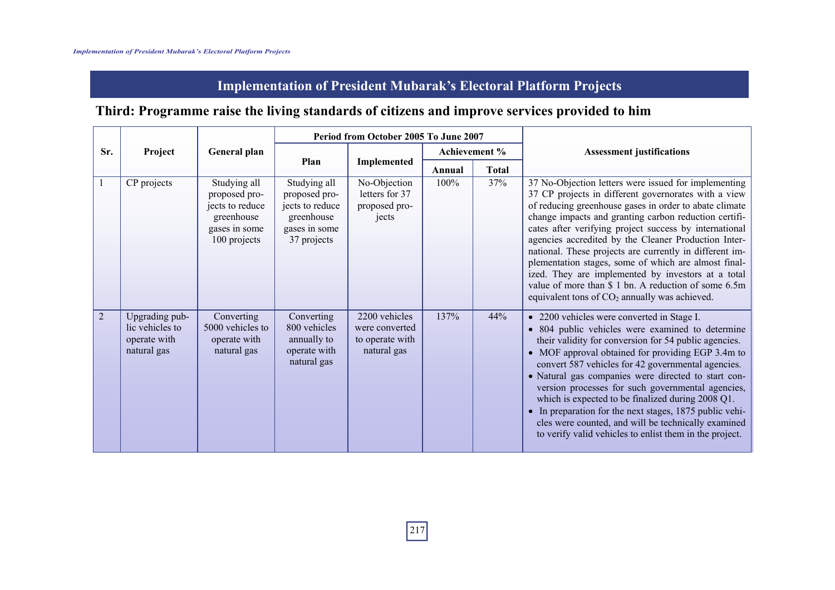### **Third: Programme raise the living standards of citizens and improve services provided to him**

|                |                                                                  | General plan                                                                                    | Period from October 2005 To June 2007                                                          |                                                                   |        |               |                                                                                                                                                                                                                                                                                                                                                                                                                                                                                                                                                                                                                                       |
|----------------|------------------------------------------------------------------|-------------------------------------------------------------------------------------------------|------------------------------------------------------------------------------------------------|-------------------------------------------------------------------|--------|---------------|---------------------------------------------------------------------------------------------------------------------------------------------------------------------------------------------------------------------------------------------------------------------------------------------------------------------------------------------------------------------------------------------------------------------------------------------------------------------------------------------------------------------------------------------------------------------------------------------------------------------------------------|
| Sr.            | Project                                                          |                                                                                                 |                                                                                                |                                                                   |        | Achievement % | <b>Assessment justifications</b>                                                                                                                                                                                                                                                                                                                                                                                                                                                                                                                                                                                                      |
|                |                                                                  |                                                                                                 | Plan                                                                                           | Implemented                                                       | Annual | <b>Total</b>  |                                                                                                                                                                                                                                                                                                                                                                                                                                                                                                                                                                                                                                       |
|                | CP projects                                                      | Studying all<br>proposed pro-<br>jects to reduce<br>greenhouse<br>gases in some<br>100 projects | Studying all<br>proposed pro-<br>jects to reduce<br>greenhouse<br>gases in some<br>37 projects | No-Objection<br>letters for 37<br>proposed pro-<br>jects          | 100%   | 37%           | 37 No-Objection letters were issued for implementing<br>37 CP projects in different governorates with a view<br>of reducing greenhouse gases in order to abate climate<br>change impacts and granting carbon reduction certifi-<br>cates after verifying project success by international<br>agencies accredited by the Cleaner Production Inter-<br>national. These projects are currently in different im-<br>plementation stages, some of which are almost final-<br>ized. They are implemented by investors at a total<br>value of more than \$ 1 bn. A reduction of some 6.5m<br>equivalent tons of $CO2$ annually was achieved. |
| $\overline{2}$ | Upgrading pub-<br>lic vehicles to<br>operate with<br>natural gas | Converting<br>5000 vehicles to<br>operate with<br>natural gas                                   | Converting<br>800 vehicles<br>annually to<br>operate with<br>natural gas                       | 2200 vehicles<br>were converted<br>to operate with<br>natural gas | 137%   | 44%           | • 2200 vehicles were converted in Stage I.<br>• 804 public vehicles were examined to determine<br>their validity for conversion for 54 public agencies.<br>• MOF approval obtained for providing EGP 3.4m to<br>convert 587 vehicles for 42 governmental agencies.<br>• Natural gas companies were directed to start con-<br>version processes for such governmental agencies,<br>which is expected to be finalized during 2008 Q1.<br>• In preparation for the next stages, 1875 public vehi-<br>cles were counted, and will be technically examined<br>to verify valid vehicles to enlist them in the project.                      |